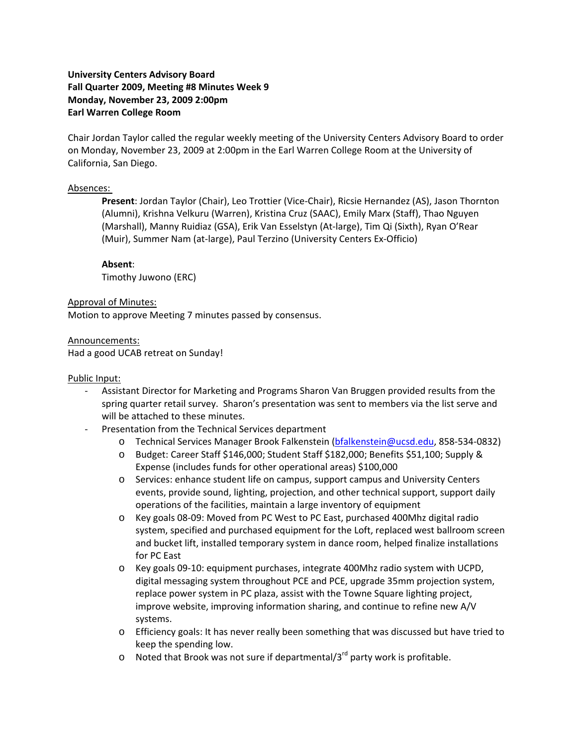# **University Centers Advisory Board Fall Quarter 2009, Meeting #8 Minutes Week 9 Monday, November 23, 2009 2:00pm Earl Warren College Room**

Chair Jordan Taylor called the regular weekly meeting of the University Centers Advisory Board to order on Monday, November 23, 2009 at 2:00pm in the Earl Warren College Room at the University of California, San Diego.

## Absences:

**Present**: Jordan Taylor (Chair), Leo Trottier (Vice‐Chair), Ricsie Hernandez (AS), Jason Thornton (Alumni), Krishna Velkuru (Warren), Kristina Cruz (SAAC), Emily Marx (Staff), Thao Nguyen (Marshall), Manny Ruidiaz (GSA), Erik Van Esselstyn (At‐large), Tim Qi (Sixth), Ryan O'Rear (Muir), Summer Nam (at‐large), Paul Terzino (University Centers Ex‐Officio)

## **Absent**:

Timothy Juwono (ERC)

### Approval of Minutes:

Motion to approve Meeting 7 minutes passed by consensus.

### Announcements:

Had a good UCAB retreat on Sunday!

#### Public Input:

- ‐ Assistant Director for Marketing and Programs Sharon Van Bruggen provided results from the spring quarter retail survey. Sharon's presentation was sent to members via the list serve and will be attached to these minutes.
- ‐ Presentation from the Technical Services department
	- o Technical Services Manager Brook Falkenstein (bfalkenstein@ucsd.edu, 858‐534‐0832)
	- o Budget: Career Staff \$146,000; Student Staff \$182,000; Benefits \$51,100; Supply & Expense (includes funds for other operational areas) \$100,000
	- o Services: enhance student life on campus, support campus and University Centers events, provide sound, lighting, projection, and other technical support, support daily operations of the facilities, maintain a large inventory of equipment
	- o Key goals 08‐09: Moved from PC West to PC East, purchased 400Mhz digital radio system, specified and purchased equipment for the Loft, replaced west ballroom screen and bucket lift, installed temporary system in dance room, helped finalize installations for PC East
	- o Key goals 09‐10: equipment purchases, integrate 400Mhz radio system with UCPD, digital messaging system throughout PCE and PCE, upgrade 35mm projection system, replace power system in PC plaza, assist with the Towne Square lighting project, improve website, improving information sharing, and continue to refine new A/V systems.
	- o Efficiency goals: It has never really been something that was discussed but have tried to keep the spending low.
	- $\circ$  Noted that Brook was not sure if departmental/3<sup>rd</sup> party work is profitable.